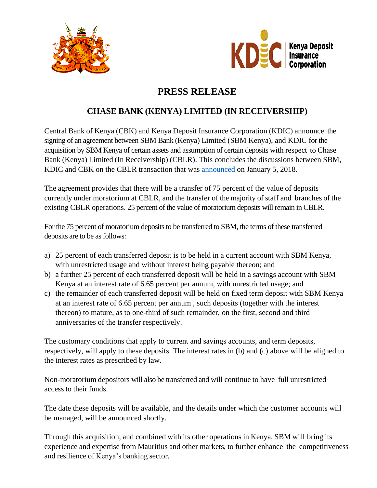



## **PRESS RELEASE**

## **CHASE BANK (KENYA) LIMITED (IN RECEIVERSHIP)**

Central Bank of Kenya (CBK) and Kenya Deposit Insurance Corporation (KDIC) announce the signing of an agreement between SBM Bank (Kenya) Limited (SBM Kenya), and KDIC for the acquisition by SBM Kenya of certain assets and assumption of certain deposits with respect to Chase Bank (Kenya) Limited (In Receivership) (CBLR). This concludes the discussions between SBM, KDIC and CBK on the CBLR transaction that was [announced](https://www.centralbank.go.ke/uploads/press_releases/547132684_Press%20Release%20-%20Chase%20Bank%20-%20Acceptance%20of%20the%20Binding%20Offer.pdf) on January 5, 2018.

The agreement provides that there will be a transfer of 75 percent of the value of deposits currently under moratorium at CBLR, and the transfer of the majority of staff and branches of the existing CBLR operations. 25 percent of the value of moratorium deposits will remain in CBLR.

For the 75 percent of moratorium deposits to be transferred to SBM, the terms of these transferred deposits are to be as follows:

- a) 25 percent of each transferred deposit is to be held in a current account with SBM Kenya, with unrestricted usage and without interest being payable thereon; and
- b) a further 25 percent of each transferred deposit will be held in a savings account with SBM Kenya at an interest rate of 6.65 percent per annum, with unrestricted usage; and
- c) the remainder of each transferred deposit will be held on fixed term deposit with SBM Kenya at an interest rate of 6.65 percent per annum , such deposits (together with the interest thereon) to mature, as to one-third of such remainder, on the first, second and third anniversaries of the transfer respectively.

The customary conditions that apply to current and savings accounts, and term deposits, respectively, will apply to these deposits. The interest rates in (b) and (c) above will be aligned to the interest rates as prescribed by law.

Non-moratorium depositors will also be transferred and will continue to have full unrestricted access to their funds.

The date these deposits will be available, and the details under which the customer accounts will be managed, will be announced shortly.

Through this acquisition, and combined with its other operations in Kenya, SBM will bring its experience and expertise from Mauritius and other markets, to further enhance the competitiveness and resilience of Kenya's banking sector.